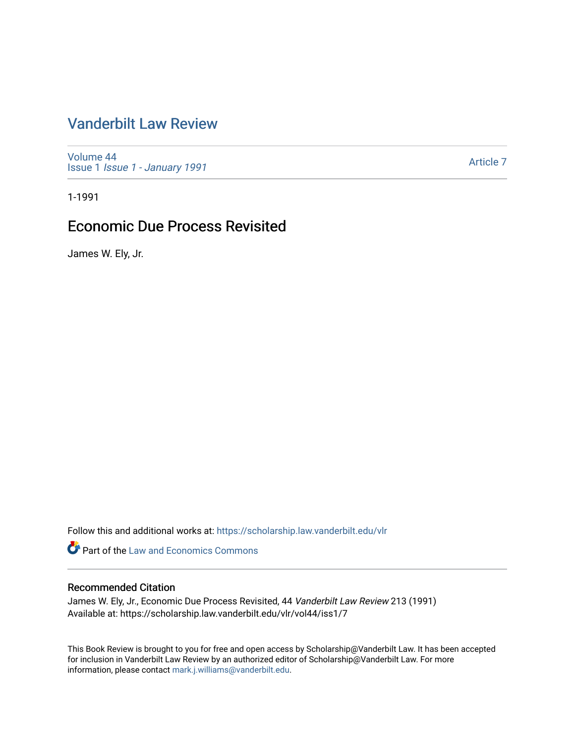## [Vanderbilt Law Review](https://scholarship.law.vanderbilt.edu/vlr)

[Volume 44](https://scholarship.law.vanderbilt.edu/vlr/vol44) Issue 1 [Issue 1 - January 1991](https://scholarship.law.vanderbilt.edu/vlr/vol44/iss1)

[Article 7](https://scholarship.law.vanderbilt.edu/vlr/vol44/iss1/7) 

1-1991

### Economic Due Process Revisited

James W. Ely, Jr.

Follow this and additional works at: [https://scholarship.law.vanderbilt.edu/vlr](https://scholarship.law.vanderbilt.edu/vlr?utm_source=scholarship.law.vanderbilt.edu%2Fvlr%2Fvol44%2Fiss1%2F7&utm_medium=PDF&utm_campaign=PDFCoverPages)

**Part of the Law and Economics Commons** 

#### Recommended Citation

James W. Ely, Jr., Economic Due Process Revisited, 44 Vanderbilt Law Review 213 (1991) Available at: https://scholarship.law.vanderbilt.edu/vlr/vol44/iss1/7

This Book Review is brought to you for free and open access by Scholarship@Vanderbilt Law. It has been accepted for inclusion in Vanderbilt Law Review by an authorized editor of Scholarship@Vanderbilt Law. For more information, please contact [mark.j.williams@vanderbilt.edu](mailto:mark.j.williams@vanderbilt.edu).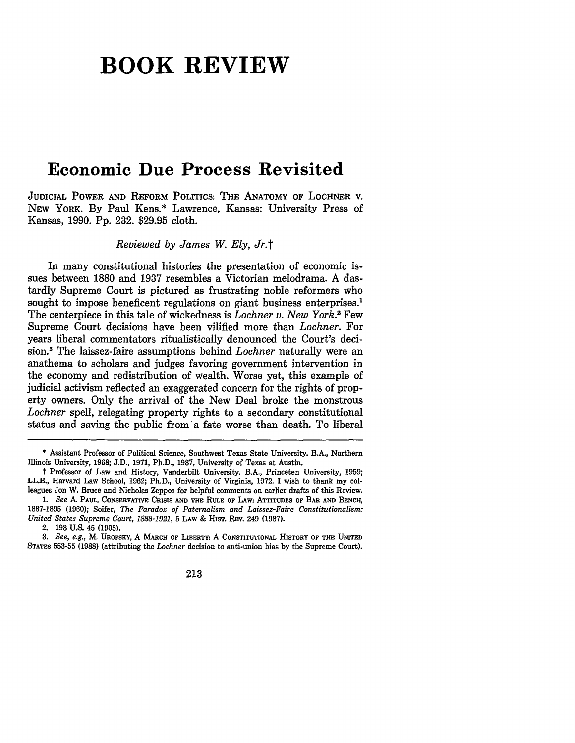# **BOOK REVIEW**

## **Economic Due Process Revisited**

**JUDICIAL** POWER **AND** REFORM POLITICS: THE **ANATOMY** OF LOCHNER V. **NEW** YORK. **By** Paul Kens.\* Lawrence, Kansas: University Press of Kansas, **1990. Pp. 232. \$29.95** cloth.

*Reviewed by James W. Ely, Jr.t*

In many constitutional histories the presentation of economic issues between **1880** and **1937** resembles a Victorian melodrama. **A** dastardly Supreme Court is pictured as frustrating noble reformers who sought to impose beneficent regulations on giant business enterprises.<sup>1</sup> The centerpiece in this tale of wickedness is *Lochner v. New York.'* Few Supreme Court decisions have been vilified more than *Lochner.* For years liberal commentators ritualistically denounced the Court's decision.3 The laissez-faire assumptions behind *Lochner* naturally were an anathema to scholars and judges favoring government intervention in the economy and redistribution of wealth. Worse yet, this example of judicial activism reflected an exaggerated concern for the rights of property owners. Only the arrival of the New Deal broke the monstrous *Lochner* spell, relegating property rights to a secondary constitutional status and saving the public from a fate worse than death. To liberal

<sup>\*</sup> Assistant Professor of Political Science, Southwest Texas State University. B.A., Northern Illinois University, **1968; J.D., 1971,** Ph.D., **1987,** University of Texas at Austin.

t Professor of Law and History, Vanderbilt University. B.A., Princeton University, **1959;** LL.B., Harvard Law School, **1962;** Ph.D., University of Virginia, **1972. I** wish to thank my colleagues Jon W. Bruce and Nicholas Zeppos for helpful comments on earlier drafts of this Review.

*<sup>1.</sup> See* A. **PAUL, CONSERVATIVE CRISIS AND THE RULE** OF **LAW:** ATTITUDES **OF** BAR **AND BENCH, 1887-1895 (1960);** Soifer, *The Paradox of Paternalism and Laissez-Faire Constitutionalism: United States Supreme Court, 1888-1921,* **5** LAW & **HIST.** REv. 249 **(1987).**

<sup>2.</sup> **198** U.S. 45 **(1905).**

*<sup>3.</sup> See, e.g.,* **M. UROFSKY,** A **MARCH OF LIBERTY.** A **CONSTrUTIONAL HISTORY OF THE** UNITED STATES **553-55 (1988)** (attributing the *Lochner* decision to anti-union bias by the Supreme Court).

<sup>213</sup>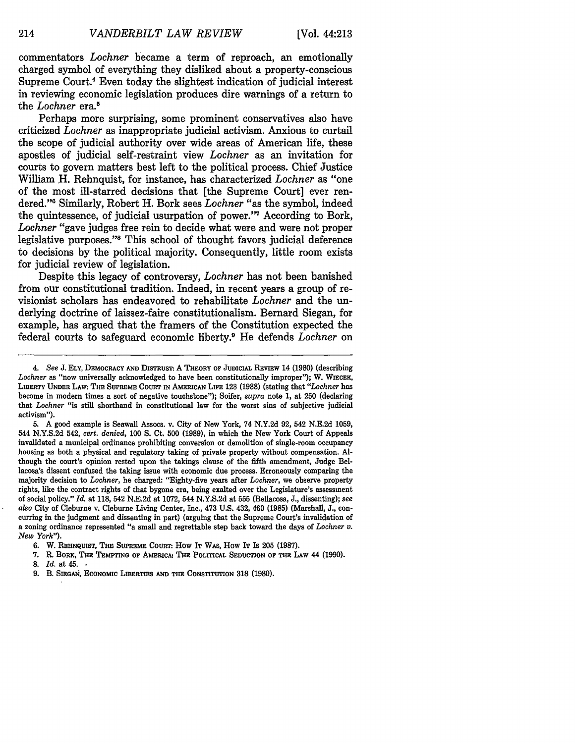commentators *Lochner* became a term of reproach, an emotionally charged symbol of everything they disliked about a property-conscious Supreme Court.' Even today the slightest indication of judicial interest in reviewing economic legislation produces dire warnings of a return to the *Lochner* era.<sup>5</sup>

Perhaps more surprising, some prominent conservatives also have criticized *Lochner* as inappropriate judicial activism. Anxious to curtail the scope of judicial authority over wide areas of American life, these apostles of judicial self-restraint view *Lochner* as an invitation for courts to govern matters best left to the political process. Chief Justice William H. Rehnquist, for instance, has characterized *Lochner* as "one of the most ill-starred decisions that [the Supreme Court] ever rendered."<sup>6</sup> Similarly, Robert H. Bork sees *Lochner* "as the symbol, indeed the quintessence, of judicial usurpation of power."<sup>7</sup> According to Bork, *Lochner* "gave judges free rein to decide what were and were not proper legislative purposes."<sup>8</sup> This school of thought favors judicial deference to decisions by the political majority. Consequently, little room exists for judicial review of legislation.

Despite this legacy of controversy, *Lochner* has not been banished from our constitutional tradition. Indeed, in recent years a group of revisionist scholars has endeavored to rehabilitate *Lochner* and the underlying doctrine of laissez-faire constitutionalism. Bernard Siegan, for example, has argued that the framers of the Constitution expected the federal courts to safeguard economic liberty.9 He defends *Lochner* on

5. A good example is Seawall Assocs. v. City of New York, 74 N.Y.2d 92, 542 N.E.2d 1059, 544 N.Y.S.2d 542, *cert. denied,* **100 S.** Ct. **500** (1989), in which the New York Court of Appeals invalidated a municipal ordinance prohibiting conversion or demolition of single-room occupancy housing as both a physical and regulatory taking of private property without compensation. Although the court's opinion rested upon the takings clause of the fifth amendment, Judge Bellacosa's dissent confused the taking issue with economic due process. Erroneously comparing the majority decision to *Lochner,* he charged: "Eighty-five years after *Lochner,* we observe property rights, like the contract rights of that bygone era, being exalted over the Legislature's assessment of social policy." *Id.* at 118, 542 N.E.2d at 1072, 544 N.Y.S.2d at 555 (Bellacosa, J., dissenting); *see* also City of Cleburne v. Cleburne Living Center, Inc., 473 U.S. 432, 460 (1985) (Marshall, J., concurring in the judgment and dissenting in part) (arguing that the Supreme Court's invalidation of a zoning ordinance represented "a small and regrettable step back toward the days of *Lochner v. New York").*

214

*<sup>4.</sup> See* **J. ELY, DEMOCRACY AND DisTRusT** A **THEORY OF JUDICIAL REvIEW** 14 **(1980)** (describing *Lochner* as "now universally acknowledged to have **been** constitutionally **improper");** W. **WiECEK, LIBERTY UNDER** LAW: **THE SUPREME COURT IN AMERICAN LIFE** 123 (1988) (stating that *"Lochner* has become in modem times a sort of negative touchstone"); Soifer, *supra* note 1, at 250 (declaring that *Lochner* "is still shorthand in constitutional law for the worst sins of subjective judicial activism").

**<sup>6.</sup> W. REHNQUIST, THE SUPREME COURT:. How IT WAS, How IT Is 205 (1987).**

**<sup>7.</sup>** R. **BORK, THE TEMPTING OF AMERICA. THE POLITICAL SEDUCTION OF THE LAW** 44 **(1990).**

**<sup>8.</sup>** *Id.* at 45. **•**

<sup>9.</sup> B. SIEGAN, ECONOMIC LIBERTIES AND THE CONSTITUTION 318 (1980).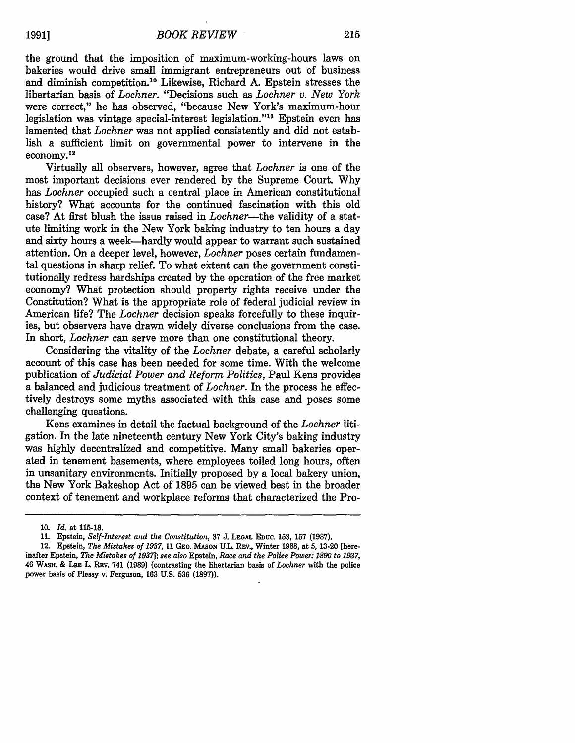the ground that the imposition of maximum-working-hours laws on bakeries would drive small immigrant entrepreneurs out of business and diminish competition.10 Likewise, Richard A. Epstein stresses the libertarian basis of *Lochner.* "Decisions such as *Lochner v. New York* were correct," he has observed, "because New York's maximum-hour legislation was vintage special-interest legislation."" Epstein even has lamented that *Lochner* was not applied consistently and did not establish a sufficient limit on governmental power to intervene in the economy. 12

Virtually all observers, however, agree that *Lochner* is one of the most important decisions ever rendered by the Supreme Court. Why has *Lochner* occupied such a central place in American constitutional history? What accounts for the continued fascination with this old case? At first blush the issue raised in *Lochner-the* validity of a statute limiting work in the New York baking industry to ten hours a day and sixty hours a week-hardly would appear to warrant such sustained attention. On a deeper level, however, *Lochner* poses certain fundamental questions in sharp relief. To what extent can the government constitutionally redress hardships created by the operation of the free market economy? What protection should property rights receive under the Constitution? What is the appropriate role of federal judicial review in American life? The *Lochner* decision speaks forcefully to these inquiries, but observers have drawn widely diverse conclusions from the case. In short, *Lochner* can serve more than one constitutional theory.

Considering the vitality of the *Lochner* debate, a careful scholarly account of this case has been needed for some time. With the welcome publication of *Judicial Power and Reform Politics,* Paul Kens provides a balanced and judicious treatment of *Lochner.* In the process he effectively destroys some myths associated with this case and poses some challenging questions.

Kens examines in detail the factual background of the *Lochner* litigation. In the late nineteenth century New York City's baking industry was highly decentralized and competitive. Many small bakeries operated in tenement basements, where employees toiled long hours, often in unsanitary environments. Initially proposed by a local bakery union, the New York Bakeshop Act of 1895 can be viewed best in the broader context of tenement and workplace reforms that characterized the Pro-

<sup>10.</sup> *Id.* at 115-18.

**<sup>11.</sup>** Epstein, *Self-Interest and the Constitution,* **37 J. LEGAL EDUC. 153, 157 (1987).**

<sup>12.</sup> Epstein, *The Mistakes of 1937,* **11 GEo. MASON U.L.** REv., Winter 1988, at 5, 13-20 [hereinafter Epstein, *The Mistakes of 19371; see also* Epstein, *Race and the Police Power: 1890 to 1937,* 46 WASH. & **LEE** L. REv. 741 (1989) (contrasting the libertarian basis of *Lochner* with the police power basis of Plessy v. Ferguson, 163 U.S. 536 (1897)).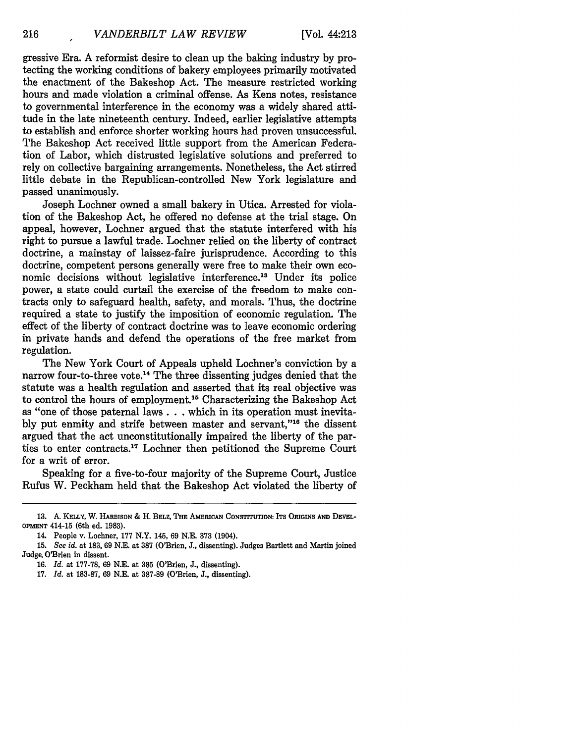gressive Era. A reformist desire to clean up the baking industry by protecting the working conditions of bakery employees primarily motivated the enactment of the Bakeshop Act. The measure restricted working hours and made violation a criminal offense. As Kens notes, resistance to governmental interference in the economy was a widely shared attitude in the late nineteenth century. Indeed, earlier legislative attempts to establish and enforce shorter working hours had proven unsuccessful. The Bakeshop Act received little support from the American Federation of Labor, which distrusted legislative solutions and preferred to rely on collective bargaining arrangements. Nonetheless, the Act stirred little debate in the Republican-controlled New York legislature and passed unanimously.

Joseph Lochner owned a small bakery in Utica. Arrested for violation of the Bakeshop Act, he offered no defense at the trial stage. On appeal, however, Lochner argued that the statute interfered with his right to pursue a lawful trade. Lochner relied on the liberty of contract doctrine, a mainstay of laissez-faire jurisprudence. According to this doctrine, competent persons generally were free to make their own economic decisions without legislative interference.<sup>13</sup> Under its police power, a state could curtail the exercise of the freedom to make contracts only to safeguard health, safety, and morals. Thus, the doctrine required a state to justify the imposition of economic regulation. The effect of the liberty of contract doctrine was to leave economic ordering in private hands and defend the operations of the free market from regulation.

The New York Court of Appeals upheld Lochner's conviction by a narrow four-to-three vote.<sup>14</sup> The three dissenting judges denied that the statute was a health regulation and asserted that its real objective was to control the hours of employment.<sup>15</sup> Characterizing the Bakeshop Act as "one of those paternal laws **. . .** which in its operation must inevitably put enmity and strife between master and servant,"<sup>16</sup> the dissent argued that the act unconstitutionally impaired the liberty of the parties to enter contracts.'7 Lochner then petitioned the Supreme Court for a writ of error.

Speaking for a five-to-four majority of the Supreme Court, Justice Rufus W. Peckham held that the Bakeshop Act violated the liberty of

**<sup>13.</sup> A. KELLY,** W. **HARBISON** & H. **BELz, THE AMERICAN** CONsTrrUTION: **ITS ORIGINS AND DEVEL-OPMENT** 414-15 (6th ed. **1983).**

<sup>14.</sup> People v. Lochner, **177** N.Y. 145, **69 N.E. 373** (1904).

**<sup>15.</sup>** *See id.* at **183, 69 N.E.** at **387** (O'Brien, **J.,** dissenting). Judges Bartlett and Martin joined Judge. O'Brien in dissent.

**<sup>16.</sup>** *Id.* at **177-78, 69 N.E.** at **385** (O'Brien, **J.,** dissenting).

**<sup>17.</sup>** Id. at **183-87, 69 N.E.** at **387-89** (O'Brien, **J.,** dissenting).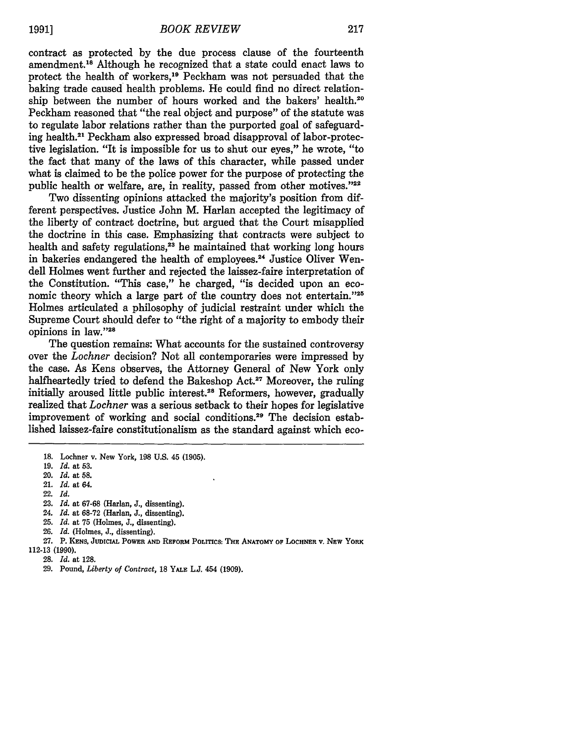contract as protected by the due process clause of the fourteenth amendment. 18 Although he recognized that a state could enact laws to protect the health of workers,19 Peckham was not persuaded that the baking trade caused health problems. He could find no direct relationship between the number of hours worked and the bakers' health.<sup>20</sup> Peckham reasoned that "the real object and purpose" of the statute was to regulate labor relations rather than the purported goal of safeguarding health.21 Peckham also expressed broad disapproval of labor-protective legislation. "It is impossible for us to shut our eyes," he wrote, "to the fact that many of the laws of this character, while passed under what is claimed to be the police power for the purpose of protecting the public health or welfare, are, in reality, passed from other motives."22

Two dissenting opinions attacked the majority's position from different perspectives. Justice John M. Harlan accepted the legitimacy of the liberty of contract doctrine, but argued that the Court misapplied the doctrine in this case. Emphasizing that contracts were subject to health and safety regulations,<sup>23</sup> he maintained that working long hours in bakeries endangered the health of employees.<sup>24</sup> Justice Oliver Wendell Holmes went further and rejected the laissez-faire interpretation of the Constitution. "This case," he charged, "is decided upon an economic theory which a large part of the country does not entertain."25 Holmes articulated a philosophy of judicial restraint under which the Supreme Court should defer to "the right of a majority to embody their opinions in law."28

The question remains: What accounts for the sustained controversy over the *Lochner* decision? Not all contemporaries were impressed **by** the case. As Kens observes, the Attorney General of New York only halfheartedly tried to defend the Bakeshop Act.<sup>27</sup> Moreover, the ruling initially aroused little public interest.<sup>28</sup> Reformers, however, gradually realized that *Lochner* was a serious setback to their hopes for legislative improvement of working and social conditions.<sup>29</sup> The decision established laissez-faire constitutionalism as the standard against which eco-

22. *Id.*

- 23. *Id.* at 67-68 (Harlan, J., dissenting).
- 24. *Id.* at 68-72 (Harlan, J., dissenting).
- 25. *Id.* at 75 (Holmes, J., dissenting).
- 26. *Id.* (Holmes, J., dissenting).

27. P. **KENS, JUDICIAL POWER AND** REFORM **POLITICS: THE ANATOMY OF LOCHNER V. NEW YORK** 112-13 (1990).

- 28. *Id.* at 128.
- 

**<sup>18.</sup>** Lochner v. New York, **198 U.S.** 45 **(1905).**

**<sup>19.</sup>** *Id.* at **53.**

<sup>20.</sup> *Id.* at **58.**

<sup>21.</sup> *Id.* at 64.

<sup>29.</sup> Pound, *Liberty of Contract,* **18 YALE** L.J. 454 (1909).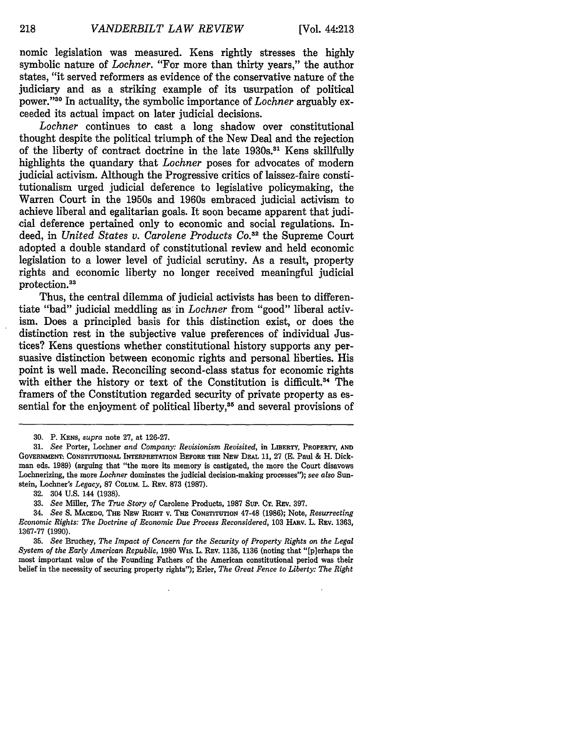nomic legislation was measured. Kens rightly stresses the highly symbolic nature of *Lochner*. "For more than thirty years," the author states, "it served reformers as evidence of the conservative nature of the judiciary and as a striking example of its usurpation of political power."30 In actuality, the symbolic importance of *Lochner* arguably exceeded its actual impact on later judicial decisions.

*Lochner* continues to cast a long shadow over constitutional thought despite the political triumph of the New Deal and the rejection of the liberty of contract doctrine in the late 1930s.<sup>31</sup> Kens skillfully highlights the quandary that *Lochner* poses for advocates of modern judicial activism. Although the Progressive critics of laissez-faire constitutionalism urged judicial deference to legislative policymaking, the Warren Court in the 1950s and 1960s embraced judicial activism to achieve liberal and egalitarian goals. It soon became apparent that judicial deference pertained only to economic and social regulations. Indeed, in *United States v. Carotene Products Co.3 <sup>2</sup>*the Supreme Court adopted a double standard of constitutional review and held economic legislation to a lower level of judicial scrutiny. As a result, property rights and economic liberty no longer received meaningful judicial protection.<sup>33</sup>

Thus, the central dilemma of judicial activists has been to differentiate "bad" judicial meddling as in *Lochner* from "good" liberal activism. Does a principled basis for this distinction exist, or does the distinction rest in the subjective value preferences of individual Justices? Kens questions whether constitutional history supports any persuasive distinction between economic rights and personal liberties. His point is well made. Reconciling second-class status for economic rights with either the history or text of the Constitution is difficult.<sup>34</sup> The framers of the Constitution regarded security of private property as essential for the enjoyment of political liberty,<sup>35</sup> and several provisions of

**<sup>30.</sup> P. KENS,** *supra* note 27, at 126-27.

<sup>31.</sup> *See* Porter, Lochner *and Company: Revisionism Revisited,* in **LIBERTY, PROPERTY, AND GOVERNMENT:.** CONSTITUTIONAL INTERPRETATION BEFORE **THE NEW DEAL 11,** 27 **(E.** Paul **& H. Dick**man eds. **1989)** (arguing that "the more its memory is castigated, the more the Court disavows Lochnerizing, the more *Lochner* dominates the judicial decision-making processes"); *see also* Sunstein, Lochner's *Legacy,* 87 COLUM. L. REv. **873** (1987).

**<sup>32.</sup>** 304 U.S. 144 (1938).

**<sup>33.</sup>** *See* Miller, *The True Story of* Carolene Products, 1987 SuP. **CT.** REv. **397.**

<sup>34.</sup> *See* S. **MACEDO,** THE **NEW RIGHT** V. **THE** CONSTITUTION 47-48 (1986); Note, *Resurrecting Economic Rights: The Doctrine of Economic Due Process Reconsidered,* **103** HARv. L. REv. **1363,** 1367-77 **(1990).**

**<sup>35.</sup>** *See* Bruchey, *The Impact of Concern for the Security of Property Rights on the Legal System of the Early American Republic,* 1980 Wis. L. REV. **1135, 1136** (noting that "[p]erhaps the most important value of the Founding Fathers of the American constitutional period was their belief in the necessity of securing property rights"); Erler, *The Great Fence to Liberty: The Right*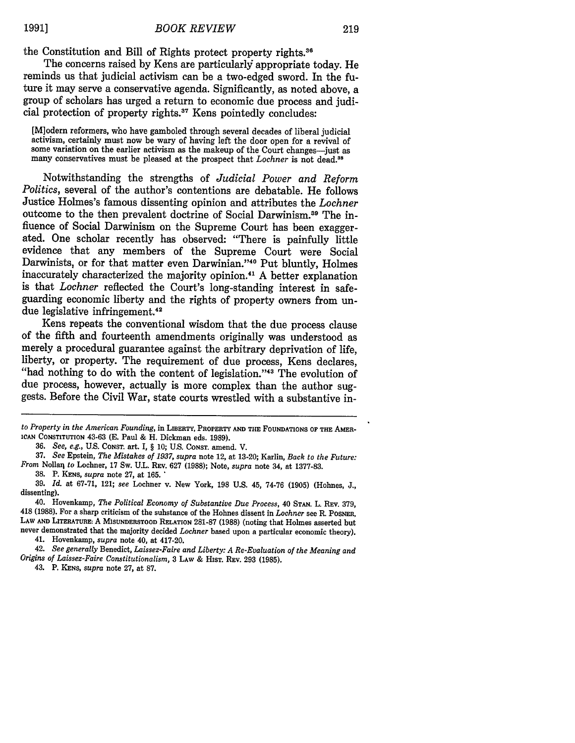the Constitution and Bill of Rights protect property rights.<sup>36</sup>

The concerns raised **by** Kens are particularly appropriate today. He reminds us that judicial activism can be a two-edged sword. In the future it may serve a conservative agenda. Significantly, as noted above, a group of scholars has urged a return to economic due process and judicial protection of property rights.<sup>37</sup> Kens pointedly concludes:

[M]odern reformers, who have gamboled through several decades of liberal judicial activism, certainly must now be wary of having left the door open for a revival of some variation on the earlier activism as the makeup of t

Notwithstanding the strengths of *Judicial Power and Reform Politics,* several of the author's contentions are debatable. He follows Justice Holmes's famous dissenting opinion and attributes the *Lochner* outcome to the then prevalent doctrine of Social Darwinism. 9 The influence of Social Darwinism on the Supreme Court has been exaggerated. One scholar recently has observed: "There is painfully little evidence that any members of the Supreme Court were Social Darwinists, or for that matter even Darwinian."<sup>40</sup> Put bluntly, Holmes inaccurately characterized the majority opinion.41 A better explanation is that *Lochner* reflected the Court's long-standing interest in safeguarding economic liberty and the rights of property owners from undue legislative infringement.42

Kens repeats the conventional wisdom that the due process clause of the fifth and fourteenth amendments originally was understood as merely a procedural guarantee against the arbitrary deprivation of life, liberty, or property. The requirement of due process, Kens declares, "had nothing to do with the content of legislation. '43 The evolution of due process, however, actually is more complex than the author suggests. Before the Civil War, state courts wrestled with a substantive in-

42. *See generally* Benedict, *Laissez-Faire and Liberty: A Re-Evaluation of the Meaning and Origins of Laissez-Faire Constitutionalism,* **3 LAW** & **HIsT.** REV. **293 (1985).**

43. P. **KENS,** *supra* note 27, at 87.

*to Property in the American Founding,* in **LIBERTY, PROPERTY AND THE FOUNDATIONS OF THE AMER-ICAN CONSTITUTION 43-63 (E.** Paul **&** H. Dickman eds. **1989).**

**<sup>36.</sup>** *See, e.g.,* U.S. **CONST.** art. I, § **10; U.S. CONsT.** amend. V.

**<sup>37.</sup>** *See* Epstein, *The Mistakes of 1937, supra* note 12, at **13-20;** Karlin, *Back to the Future: From* Nollarj *to* Lochner, **17** Sw. **U.L. REv. 627 (1988);** Note, *supra* note 34, at **1377-83.**

**<sup>38.</sup>** P. **KENS,** *supra* note **27,** at **165. "**

**<sup>39.</sup>** *Id.* at **67-71,** 121; *see* Lochner v. New York, **198 U.S.** 45, **74-76 (1905)** (Holmes, **J.,** dissenting).

<sup>40.</sup> Hovenkamp, *The Political Economy of Substantive Due Process,* 40 **STAN.** L. REv. **379,** 418 (1988). For a sharp criticism of the substance of the Holmes dissent in *Lochner* see R. **POsNER,** LAW **AND LITERATURE:** A **MISUNDERSTOOD RELATION** 281-87 (1988) (noting that Holmes asserted but never demonstrated that the majority decided *Lochner* based upon a particular economic theory). 41. Hovenkamp, *supra* note 40, at 417-20.